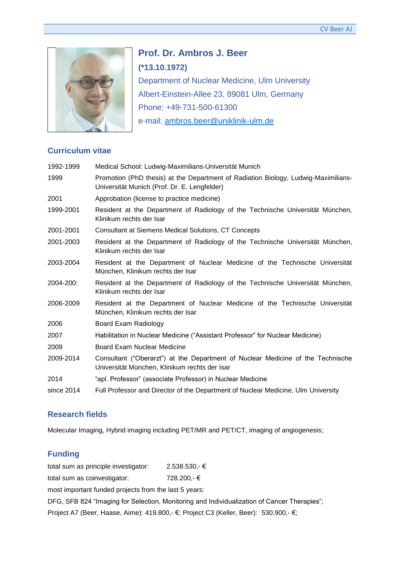

**Prof. Dr. Ambros J. Beer (\*13.10.1972)** Department of Nuclear Medicine, Ulm University Albert-Einstein-Allee 23, 89081 Ulm, Germany Phone: +49-731-500-61300 e-mail: [ambros.beer@uniklinik-ulm.de](mailto:ambros.beer@uniklinik-ulm.de)

## **Curriculum vitae**

| 1992-1999  | Medical School: Ludwig-Maximilians-Universität Munich                                                                              |
|------------|------------------------------------------------------------------------------------------------------------------------------------|
| 1999       | Promotion (PhD thesis) at the Department of Radiation Biology, Ludwig-Maximilians-<br>Universität Munich (Prof. Dr. E. Lengfelder) |
| 2001       | Approbation (license to practice medicine)                                                                                         |
| 1999-2001  | Resident at the Department of Radiology of the Technische Universität München,<br>Klinikum rechts der Isar                         |
| 2001-2001  | <b>Consultant at Siemens Medical Solutions, CT Concepts</b>                                                                        |
| 2001-2003  | Resident at the Department of Radiology of the Technische Universität München,<br>Klinikum rechts der Isar                         |
| 2003-2004  | Resident at the Department of Nuclear Medicine of the Technische Universität<br>München, Klinikum rechts der Isar                  |
| 2004-200:  | Resident at the Department of Radiology of the Technische Universität München,<br>Klinikum rechts der Isar                         |
| 2006-2009  | Resident at the Department of Nuclear Medicine of the Technische Universität<br>München, Klinikum rechts der Isar                  |
| 2006       | Board Exam Radiology                                                                                                               |
| 2007       | Habilitation in Nuclear Medicine ("Assistant Professor" for Nuclear Medicine)                                                      |
| 2009       | Board Exam Nuclear Medicine                                                                                                        |
| 2009-2014  | Consultant ("Oberarzt") at the Department of Nuclear Medicine of the Technische<br>Universität München, Klinikum rechts der Isar   |
| 2014       | "apl. Professor" (associate Professor) in Nuclear Medicine                                                                         |
| since 2014 | Full Professor and Director of the Department of Nuclear Medicine, Ulm University                                                  |

# **Research fields**

Molecular Imaging, Hybrid imaging including PET/MR and PET/CT, imaging of angiogenesis;

# **Funding**

total sum as principle investigator: 2.538.530,- € total sum as coinvestigator: 728.200,- € most important funded projects from the last 5 years: DFG, SFB 824 "Imaging for Selection, Monitoring and Individualization of Cancer Therapies"; Project A7 (Beer, Haase, Aime): 419.800,- €; Project C3 (Keller, Beer): 530.900,- €;